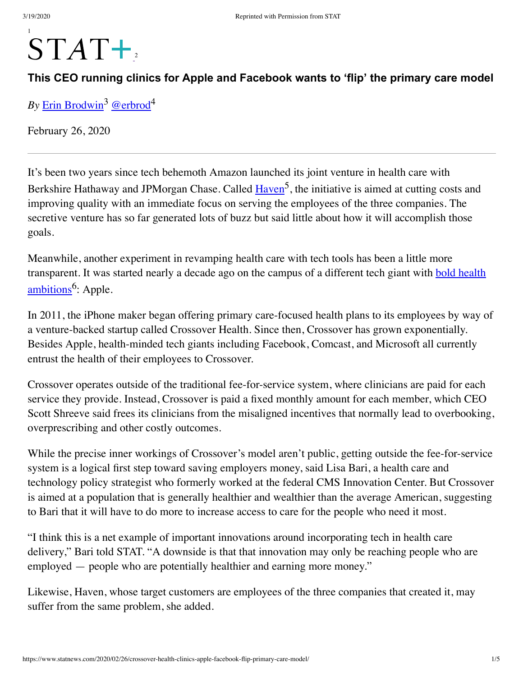# 1  $STAT+$

# **This CEO running clinics for Apple and Facebook wants to 'flip' the primary care model**

*By* [Erin Brodwin](https://www.statnews.com/staff/erin-brodwin/)<sup>3</sup> [@erbrod](https://twitter.com/erbrod)<sup>4</sup>

February 26, 2020

I t's been two years since tech behemoth Amazon launched its joint venture in health care with Berkshire Hathaway and JPMorgan Chase. Called *Haven<sup>5</sup>*, the initiative is aimed at cutting costs and improving quality with an immediate focus on serving the employees of the three companies. The secretive venture has so far generated lots of buzz but said little about how it will accomplish those goals.

Meanwhile, another experiment in revamping health care with tech tools has been a little more transparent. It was started nearly a decade ago on the campus of a different tech giant with **bold health** ambitions<sup>6</sup>: Apple.

In 2011, the iPhone maker began offering primary care-focused health plans to its employees by way of a venture-backed startup called Crossover Health. Since then, Crossover has grown exponentially. Besides Apple, health-minded tech giants including Facebook, Comcast, and Microsoft all currently entrust the health of their employees to Crossover.

Crossover operates outside of the traditional fee-for-service system, where clinicians are paid for each service they provide. Instead, Crossover is paid a fixed monthly amount for each member, which CEO Scott Shreeve said frees its clinicians from the misaligned incentives that normally lead to overbooking, overprescribing and other costly outcomes.

While the precise inner workings of Crossover's model aren't public, getting outside the fee-for-service system is a logical first step toward saving employers money, said Lisa Bari, a health care and technology policy strategist who formerly worked at the federal CMS Innovation Center. But Crossover is aimed at a population that is generally healthier and wealthier than the average American, suggesting to Bari that it will have to do more to increase access to care for the people who need it most.

"I think this is a net example of important innovations around incorporating tech in health care delivery," Bari told STAT. "A downside is that that innovation may only be reaching people who are employed — people who are potentially healthier and earning more money."

Likewise, Haven, whose target customers are employees of the three companies that created it, may suffer from the same problem, she added.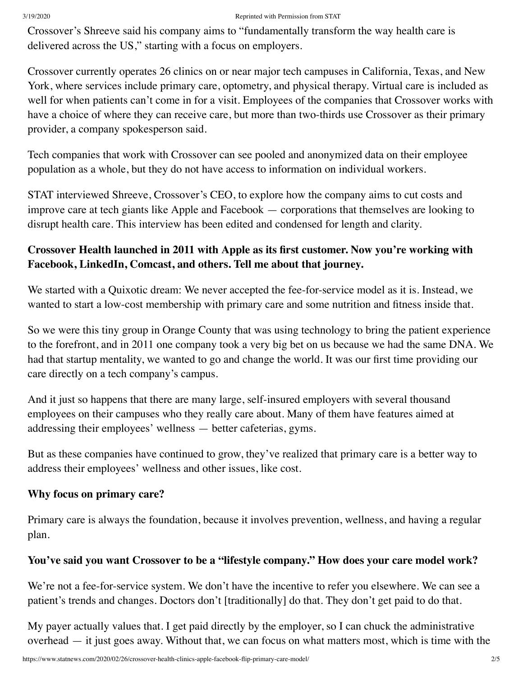#### 3/19/2020 Reprinted with Permission from STAT

Crossover's Shreeve said his company aims to "fundamentally transform the way health care is delivered across the US," starting with a focus on employers.

Crossover currently operates 26 clinics on or near major tech campuses in California, Texas, and New York, where services include primary care, optometry, and physical therapy. Virtual care is included as well for when patients can't come in for a visit. Employees of the companies that Crossover works with have a choice of where they can receive care, but more than two-thirds use Crossover as their primary provider, a company spokesperson said.

Tech companies that work with Crossover can see pooled and anonymized data on their employee population as a whole, but they do not have access to information on individual workers.

STAT interviewed Shreeve, Crossover's CEO, to explore how the company aims to cut costs and improve care at tech giants like Apple and Facebook — corporations that themselves are looking to disrupt health care. This interview has been edited and condensed for length and clarity.

## **Crossover Health launched in 2011 with Apple as its first customer. Now you're working with Facebook, LinkedIn, Comcast, and others. Tell me about that journey.**

We started with a Quixotic dream: We never accepted the fee-for-service model as it is. Instead, we wanted to start a low-cost membership with primary care and some nutrition and fitness inside that.

So we were this tiny group in Orange County that was using technology to bring the patient experience to the forefront, and in 2011 one company took a very big bet on us because we had the same DNA. We had that startup mentality, we wanted to go and change the world. It was our first time providing our care directly on a tech company's campus.

And it just so happens that there are many large, self-insured employers with several thousand employees on their campuses who they really care about. Many of them have features aimed at addressing their employees' wellness — better cafeterias, gyms.

But as these companies have continued to grow, they've realized that primary care is a better way to address their employees' wellness and other issues, like cost.

## **Why focus on primary care?**

Primary care is always the foundation, because it involves prevention, wellness, and having a regular plan.

## **You've said you want Crossover to be a "lifestyle company." How does your care model work?**

We're not a fee-for-service system. We don't have the incentive to refer you elsewhere. We can see a patient's trends and changes. Doctors don't [traditionally] do that. They don't get paid to do that.

My payer actually values that. I get paid directly by the employer, so I can chuck the administrative overhead — it just goes away. Without that, we can focus on what matters most, which is time with the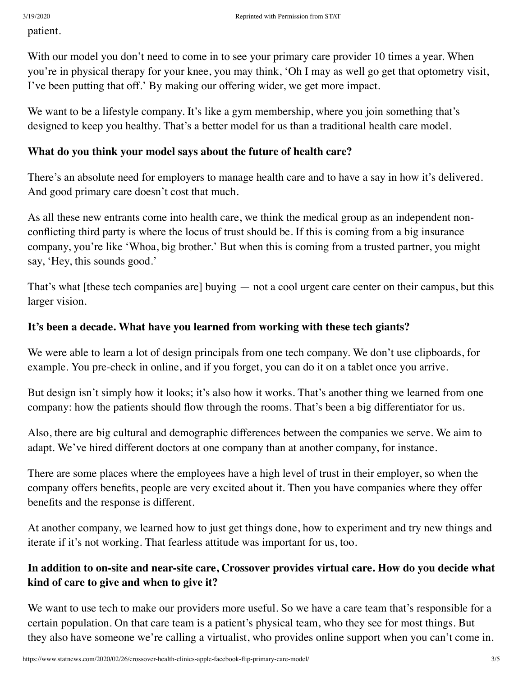patient.

With our model you don't need to come in to see your primary care provider 10 times a year. When you're in physical therapy for your knee, you may think, 'Oh I may as well go get that optometry visit, I've been putting that off.' By making our offering wider, we get more impact.

We want to be a lifestyle company. It's like a gym membership, where you join something that's designed to keep you healthy. That's a better model for us than a traditional health care model.

#### **What do you think your model says about the future of health care?**

There's an absolute need for employers to manage health care and to have a say in how it's delivered. And good primary care doesn't cost that much.

As all these new entrants come into health care, we think the medical group as an independent nonconflicting third party is where the locus of trust should be. If this is coming from a big insurance company, you're like 'Whoa, big brother.' But when this is coming from a trusted partner, you might say, 'Hey, this sounds good.'

That's what [these tech companies are] buying — not a cool urgent care center on their campus, but this larger vision.

#### **It's been a decade. What have you learned from working with these tech giants?**

We were able to learn a lot of design principals from one tech company. We don't use clipboards, for example. You pre-check in online, and if you forget, you can do it on a tablet once you arrive.

But design isn't simply how it looks; it's also how it works. That's another thing we learned from one company: how the patients should flow through the rooms. That's been a big differentiator for us.

Also, there are big cultural and demographic differences between the companies we serve. We aim to adapt. We've hired different doctors at one company than at another company, for instance.

There are some places where the employees have a high level of trust in their employer, so when the company offers benefits, people are very excited about it. Then you have companies where they offer benefits and the response is different.

At another company, we learned how to just get things done, how to experiment and try new things and iterate if it's not working. That fearless attitude was important for us, too.

## **In addition to on-site and near-site care, Crossover provides virtual care. How do you decide what kind of care to give and when to give it?**

We want to use tech to make our providers more useful. So we have a care team that's responsible for a certain population. On that care team is a patient's physical team, who they see for most things. But they also have someone we're calling a virtualist, who provides online support when you can't come in.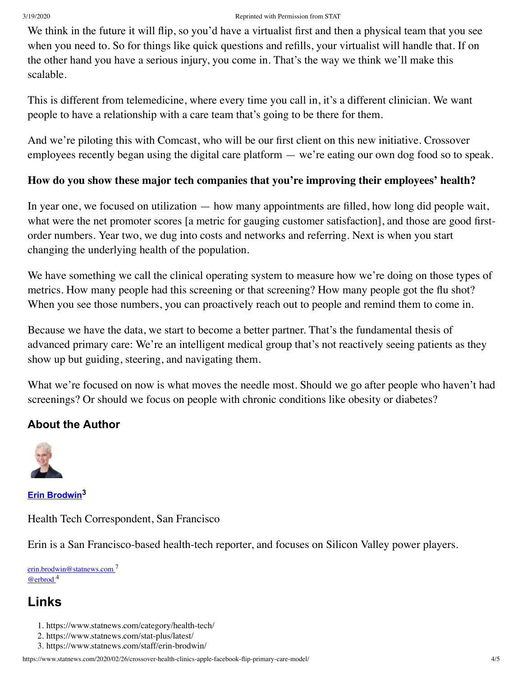#### 3/19/2020 Reprinted with Permission from STAT

We think in the future it will flip, so you'd have a virtualist first and then a physical team that you see when you need to. So for things like quick questions and refills, your virtualist will handle that. If on the other hand you have a serious injury, you come in. That's the way we think we'll make this scalable.

This is different from telemedicine, where every time you call in, it's a different clinician. We want people to have a relationship with a care team that's going to be there for them.

And we're piloting this with Comcast, who will be our first client on this new initiative. Crossover employees recently began using the digital care platform — we're eating our own dog food so to speak.

#### **How do you show these major tech companies that you're improving their employees' health?**

In year one, we focused on utilization — how many appointments are filled, how long did people wait, what were the net promoter scores [a metric for gauging customer satisfaction], and those are good firstorder numbers. Year two, we dug into costs and networks and referring. Next is when you start changing the underlying health of the population.

We have something we call the clinical operating system to measure how we're doing on those types of metrics. How many people had this screening or that screening? How many people got the flu shot? When you see those numbers, you can proactively reach out to people and remind them to come in.

Because we have the data, we start to become a better partner. That's the fundamental thesis of advanced primary care: We're an intelligent medical group that's not reactively seeing patients as they show up but guiding, steering, and navigating them.

What we're focused on now is what moves the needle most. Should we go after people who haven't had screenings? Or should we focus on people with chronic conditions like obesity or diabetes?

## **About the Author**



**[Erin Brodwin](https://www.statnews.com/staff/erin-brodwin/)<sup>3</sup>**

Health Tech Correspondent, San Francisco

Erin is a San Francisco-based health-tech reporter, and focuses on Silicon Valley power players.

[erin.brodwin@statnews.com](mailto:erin.brodwin@statnews.com) <sup>7</sup> [@erbrod](https://twitter.com/erbrod) <sup>4</sup>

# **Links**

- 1. https://www.statnews.com/category/health-tech/
- 2. https://www.statnews.com/stat-plus/latest/
- 3. https://www.statnews.com/staff/erin-brodwin/